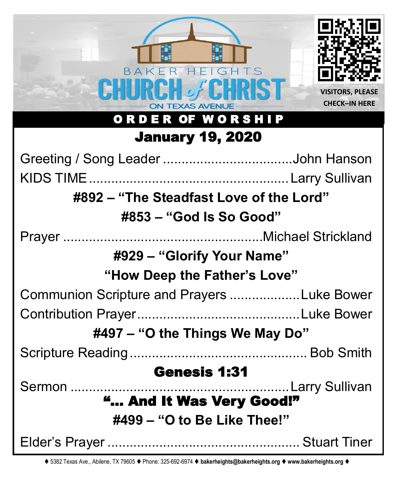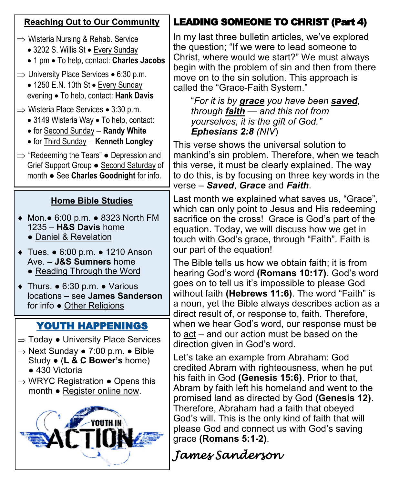| <b>Reaching Out to Our Community</b>                                                                                                                                                                                            | <b>LEADING SOMEONE TO CHRIST (Part 4)</b>                                                                                                                                                                                                                                                                                                                                                                                                           |
|---------------------------------------------------------------------------------------------------------------------------------------------------------------------------------------------------------------------------------|-----------------------------------------------------------------------------------------------------------------------------------------------------------------------------------------------------------------------------------------------------------------------------------------------------------------------------------------------------------------------------------------------------------------------------------------------------|
| $\Rightarrow$ Wisteria Nursing & Rehab. Service<br>• 3202 S. Willis St • Every Sunday<br>• 1 pm • To help, contact: Charles Jacobs<br>$\Rightarrow$ University Place Services • 6:30 p.m.<br>• 1250 E.N. 10th St • Every Sunday | In my last three bulletin articles, we've explored<br>the question; "If we were to lead someone to<br>Christ, where would we start?" We must always<br>begin with the problem of sin and then from there<br>move on to the sin solution. This approach is<br>called the "Grace-Faith System."                                                                                                                                                       |
| evening • To help, contact: Hank Davis<br>$\Rightarrow$ Wisteria Place Services • 3:30 p.m.<br>• 3149 Wisteria Way • To help, contact:<br>• for Second Sunday - Randy White                                                     | "For it is by grace you have been saved,<br>through <b>faith</b> - and this not from<br>yourselves, it is the gift of God."<br>Ephesians $2:8$ (NIV)                                                                                                                                                                                                                                                                                                |
| • for Third Sunday - Kenneth Longley<br>$\Rightarrow$ "Redeeming the Tears" $\bullet$ Depression and<br>Grief Support Group . Second Saturday of<br>month . See Charles Goodnight for info.                                     | This verse shows the universal solution to<br>mankind's sin problem. Therefore, when we teach<br>this verse, it must be clearly explained. The way<br>to do this, is by focusing on three key words in the<br>verse - Saved, Grace and Faith.                                                                                                                                                                                                       |
| <b>Home Bible Studies</b><br>◆ Mon.• 6:00 p.m. • 8323 North FM<br>1235 - H&S Davis home<br>· Daniel & Revelation<br>◆ Tues. • 6:00 p.m. • 1210 Anson                                                                            | Last month we explained what saves us, "Grace",<br>which can only point to Jesus and His redeeming<br>sacrifice on the cross! Grace is God's part of the<br>equation. Today, we will discuss how we get in<br>touch with God's grace, through "Faith". Faith is<br>our part of the equation!                                                                                                                                                        |
| Ave. - J&S Sumners home<br>• Reading Through the Word<br>$\bullet$ Thurs. $\bullet$ 6:30 p.m. $\bullet$ Various<br>locations - see James Sanderson<br>for info . Other Religions                                                | The Bible tells us how we obtain faith; it is from<br>hearing God's word (Romans 10:17). God's word<br>goes on to tell us it's impossible to please God<br>without faith (Hebrews 11:6). The word "Faith" is<br>a noun, yet the Bible always describes action as a<br>direct result of, or response to, faith. Therefore,                                                                                                                           |
| <b>YOUTH HAPPENINGS</b><br>$\Rightarrow$ Today $\bullet$ University Place Services                                                                                                                                              | when we hear God's word, our response must be<br>to act – and our action must be based on the<br>direction given in God's word.                                                                                                                                                                                                                                                                                                                     |
| $\Rightarrow$ Next Sunday • 7:00 p.m. • Bible<br>Study • (L & C Bower's home)<br>$\bullet$ 430 Victoria<br>$\Rightarrow$ WRYC Registration $\bullet$ Opens this<br>month • Register online now.                                 | Let's take an example from Abraham: God<br>credited Abram with righteousness, when he put<br>his faith in God (Genesis 15:6). Prior to that,<br>Abram by faith left his homeland and went to the<br>promised land as directed by God (Genesis 12).<br>Therefore, Abraham had a faith that obeyed<br>God's will. This is the only kind of faith that will<br>please God and connect us with God's saving<br>grace (Romans 5:1-2).<br>James Sanderson |
|                                                                                                                                                                                                                                 |                                                                                                                                                                                                                                                                                                                                                                                                                                                     |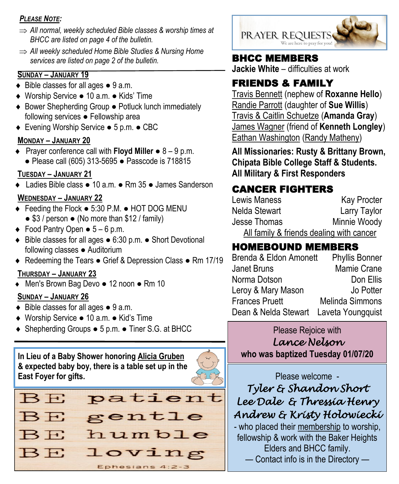#### *PLEASE NOTE:*

- *All normal, weekly scheduled Bible classes & worship times at BHCC are listed on page 4 of the bulletin.*
- *All weekly scheduled Home Bible Studies & Nursing Home services are listed on page 2 of the bulletin.*

#### **SUNDAY – JANUARY 19**

- $\bullet$  Bible classes for all ages  $\bullet$  9 a.m.
- Worship Service 10 a.m. Kids' Time
- Bower Shepherding Group Potluck lunch immediately following services *●* Fellowship area
- Evening Worship Service 5 p.m. CBC

#### **MONDAY – JANUARY 20**

 Prayer conference call with **Floyd Miller** ● 8 – 9 p.m. ● Please call (605) 313-5695 ● Passcode is 718815

#### **TUESDAY – JANUARY 21**

Ladies Bible class ● 10 a.m. ● Rm 35 ● James Sanderson

#### **WEDNESDAY – JANUARY 22**

- Feeding the Flock 5:30 P.M. HOT DOG MENU  $\bullet$  \$3 / person  $\bullet$  (No more than \$12 / family)
- $\bullet$  Food Pantry Open  $\bullet$  5 6 p.m.
- Bible classes for all ages 6:30 p.m. Short Devotional following classes ● Auditorium
- ◆ Redeeming the Tears Grief & Depression Class Rm 17/19

#### **THURSDAY – JANUARY 23**

Men's Brown Bag Devo ● 12 noon ● Rm 10

#### **SUNDAY – JANUARY 26**

- ◆ Bible classes for all ages 9 a.m.
- Worship Service 10 a.m. Kid's Time
- ◆ Shepherding Groups 5 p.m. Tiner S.G. at BHCC Please Rejoice with

**In Lieu of a Baby Shower honoring Alicia Gruben & expected baby boy, there is a table set up in the East Foyer for gifts.**





### BHCC MEMBERS

**Jackie White** – difficulties at work

# FRIENDS & FAMILY

Travis Bennett (nephew of **Roxanne Hello**) Randie Parrott (daughter of **Sue Willis**) Travis & Caitlin Schuetze (**Amanda Gray**) James Wagner (friend of **Kenneth Longley**) Eathan Washington (Randy Matheny)

**All Missionaries: Rusty & Brittany Brown, Chipata Bible College Staff & Students. All Military & First Responders**

# CANCER FIGHTERS

| Lewis Maness  | <b>Kay Procter</b>                       |
|---------------|------------------------------------------|
| Nelda Stewart | Larry Taylor                             |
| Jesse Thomas  | Minnie Woody                             |
|               | All family & friends dealing with cancer |

# HOMEBOUND MEMBERS

| Brenda & Eldon Amonett                 | <b>Phyllis Bonner</b> |
|----------------------------------------|-----------------------|
| <b>Janet Bruns</b>                     | Mamie Crane           |
| Norma Dotson                           | Don Ellis             |
| Leroy & Mary Mason                     | Jo Potter             |
| <b>Frances Pruett</b>                  | Melinda Simmons       |
| Dean & Nelda Stewart Laveta Youngquist |                       |

*Lance Nelson* 

**who was baptized Tuesday 01/07/20**

Please welcome -

*Tyler & Shandon Short Lee Dale & Thressia Henry Andrew & Kristy Holowiecki* 

- who placed their membership to worship, fellowship & work with the Baker Heights Elders and BHCC family.

— Contact info is in the Directory —